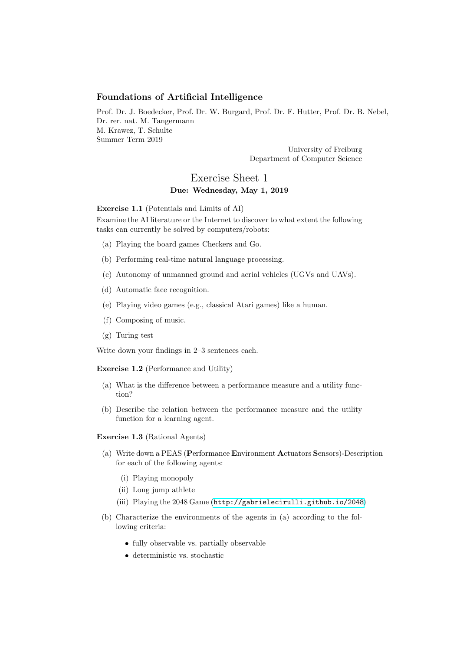## Foundations of Artificial Intelligence

Prof. Dr. J. Boedecker, Prof. Dr. W. Burgard, Prof. Dr. F. Hutter, Prof. Dr. B. Nebel, Dr. rer. nat. M. Tangermann M. Krawez, T. Schulte Summer Term 2019

> University of Freiburg Department of Computer Science

## Exercise Sheet 1 Due: Wednesday, May 1, 2019

Exercise 1.1 (Potentials and Limits of AI)

Examine the AI literature or the Internet to discover to what extent the following tasks can currently be solved by computers/robots:

- (a) Playing the board games Checkers and Go.
- (b) Performing real-time natural language processing.
- (c) Autonomy of unmanned ground and aerial vehicles (UGVs and UAVs).
- (d) Automatic face recognition.
- (e) Playing video games (e.g., classical Atari games) like a human.
- (f) Composing of music.
- (g) Turing test

Write down your findings in 2–3 sentences each.

Exercise 1.2 (Performance and Utility)

- (a) What is the difference between a performance measure and a utility function?
- (b) Describe the relation between the performance measure and the utility function for a learning agent.

Exercise 1.3 (Rational Agents)

- (a) Write down a PEAS (Performance Environment Actuators Sensors)-Description for each of the following agents:
	- (i) Playing monopoly
	- (ii) Long jump athlete
	- (iii) Playing the 2048 Game (<http://gabrielecirulli.github.io/2048>)
- (b) Characterize the environments of the agents in (a) according to the following criteria:
	- fully observable vs. partially observable
	- deterministic vs. stochastic